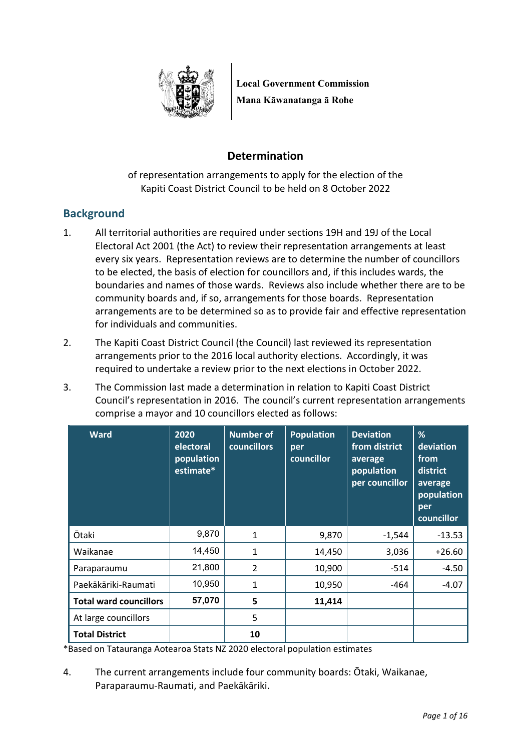

**Local Government Commission Mana Kāwanatanga ā Rohe**

# **Determination**

of representation arrangements to apply for the election of the Kapiti Coast District Council to be held on 8 October 2022

# **Background**

- 1. All territorial authorities are required under sections 19H and 19J of the Local Electoral Act 2001 (the Act) to review their representation arrangements at least every six years. Representation reviews are to determine the number of councillors to be elected, the basis of election for councillors and, if this includes wards, the boundaries and names of those wards. Reviews also include whether there are to be community boards and, if so, arrangements for those boards. Representation arrangements are to be determined so as to provide fair and effective representation for individuals and communities.
- 2. The Kapiti Coast District Council (the Council) last reviewed its representation arrangements prior to the 2016 local authority elections. Accordingly, it was required to undertake a review prior to the next elections in October 2022.
- 3. The Commission last made a determination in relation to Kapiti Coast District Council's representation in 2016. The council's current representation arrangements comprise a mayor and 10 councillors elected as follows:

| <b>Ward</b>                   | 2020<br>electoral<br>population<br>estimate* | <b>Number of</b><br><b>councillors</b> | <b>Population</b><br>per<br>councillor | <b>Deviation</b><br>from district<br>average<br>population<br>per councillor | %<br>deviation<br>from<br>district<br>average<br>population<br>per<br>councillor |
|-------------------------------|----------------------------------------------|----------------------------------------|----------------------------------------|------------------------------------------------------------------------------|----------------------------------------------------------------------------------|
| <b>Ōtaki</b>                  | 9,870                                        | $\mathbf{1}$                           | 9,870                                  | $-1,544$                                                                     | $-13.53$                                                                         |
| Waikanae                      | 14,450                                       | $\mathbf{1}$                           | 14,450                                 | 3,036                                                                        | $+26.60$                                                                         |
| Paraparaumu                   | 21,800                                       | $\overline{2}$                         | 10,900                                 | $-514$                                                                       | $-4.50$                                                                          |
| Paekākāriki-Raumati           | 10,950                                       | 1                                      | 10,950                                 | -464                                                                         | $-4.07$                                                                          |
| <b>Total ward councillors</b> | 57,070                                       | 5                                      | 11,414                                 |                                                                              |                                                                                  |
| At large councillors          |                                              | 5                                      |                                        |                                                                              |                                                                                  |
| <b>Total District</b>         |                                              | 10                                     |                                        |                                                                              |                                                                                  |

\*Based on Tatauranga Aotearoa Stats NZ 2020 electoral population estimates

4. The current arrangements include four community boards: Ōtaki, Waikanae, Paraparaumu-Raumati, and Paekākāriki.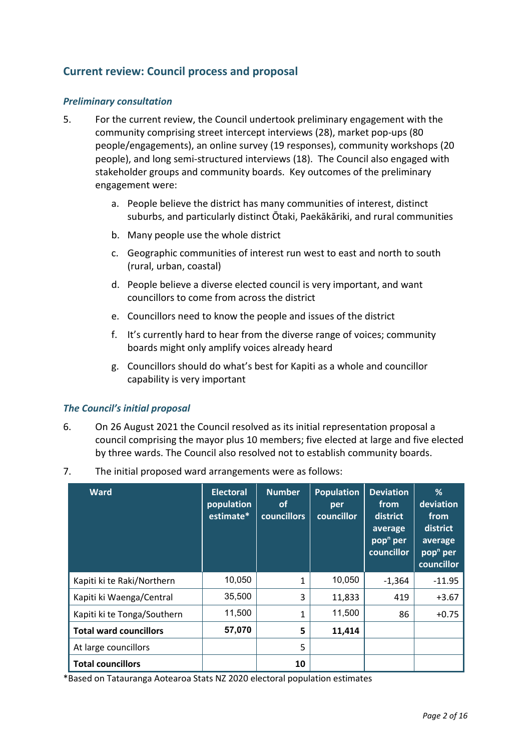# **Current review: Council process and proposal**

#### *Preliminary consultation*

- 5. For the current review, the Council undertook preliminary engagement with the community comprising street intercept interviews (28), market pop-ups (80 people/engagements), an online survey (19 responses), community workshops (20 people), and long semi-structured interviews (18). The Council also engaged with stakeholder groups and community boards. Key outcomes of the preliminary engagement were:
	- a. People believe the district has many communities of interest, distinct suburbs, and particularly distinct Ōtaki, Paekākāriki, and rural communities
	- b. Many people use the whole district
	- c. Geographic communities of interest run west to east and north to south (rural, urban, coastal)
	- d. People believe a diverse elected council is very important, and want councillors to come from across the district
	- e. Councillors need to know the people and issues of the district
	- f. It's currently hard to hear from the diverse range of voices; community boards might only amplify voices already heard
	- g. Councillors should do what's best for Kapiti as a whole and councillor capability is very important

#### *The Council's initial proposal*

- 6. On 26 August 2021 the Council resolved as its initial representation proposal a council comprising the mayor plus 10 members; five elected at large and five elected by three wards. The Council also resolved not to establish community boards.
- 7. The initial proposed ward arrangements were as follows:

| <b>Ward</b>                   | <b>Electoral</b><br>population<br>estimate* | <b>Number</b><br>οf<br><b>councillors</b> | <b>Population</b><br>per<br>councillor | <b>Deviation</b><br>from<br>district<br>average<br>pop <sup>n</sup> per<br>councillor | %<br>deviation<br>from<br>district<br>average<br>pop <sup>n</sup> per<br>councillor |
|-------------------------------|---------------------------------------------|-------------------------------------------|----------------------------------------|---------------------------------------------------------------------------------------|-------------------------------------------------------------------------------------|
| Kapiti ki te Raki/Northern    | 10,050                                      | $\mathbf{1}$                              | 10,050                                 | $-1,364$                                                                              | $-11.95$                                                                            |
| Kapiti ki Waenga/Central      | 35,500                                      | 3                                         | 11,833                                 | 419                                                                                   | $+3.67$                                                                             |
| Kapiti ki te Tonga/Southern   | 11,500                                      | $\mathbf{1}$                              | 11,500                                 | 86                                                                                    | $+0.75$                                                                             |
| <b>Total ward councillors</b> | 57,070                                      | 5                                         | 11,414                                 |                                                                                       |                                                                                     |
| At large councillors          |                                             | 5                                         |                                        |                                                                                       |                                                                                     |
| <b>Total councillors</b>      |                                             | 10                                        |                                        |                                                                                       |                                                                                     |

\*Based on Tatauranga Aotearoa Stats NZ 2020 electoral population estimates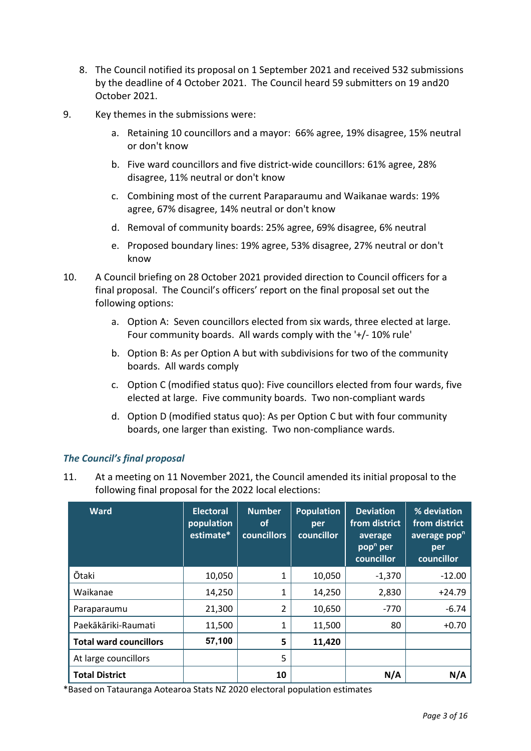- 8. The Council notified its proposal on 1 September 2021 and received 532 submissions by the deadline of 4 October 2021. The Council heard 59 submitters on 19 and20 October 2021.
- 9. Key themes in the submissions were:
	- a. Retaining 10 councillors and a mayor: 66% agree, 19% disagree, 15% neutral or don't know
	- b. Five ward councillors and five district-wide councillors: 61% agree, 28% disagree, 11% neutral or don't know
	- c. Combining most of the current Paraparaumu and Waikanae wards: 19% agree, 67% disagree, 14% neutral or don't know
	- d. Removal of community boards: 25% agree, 69% disagree, 6% neutral
	- e. Proposed boundary lines: 19% agree, 53% disagree, 27% neutral or don't know
- 10. A Council briefing on 28 October 2021 provided direction to Council officers for a final proposal. The Council's officers' report on the final proposal set out the following options:
	- a. Option A: Seven councillors elected from six wards, three elected at large. Four community boards. All wards comply with the '+/- 10% rule'
	- b. Option B: As per Option A but with subdivisions for two of the community boards. All wards comply
	- c. Option C (modified status quo): Five councillors elected from four wards, five elected at large. Five community boards. Two non-compliant wards
	- d. Option D (modified status quo): As per Option C but with four community boards, one larger than existing. Two non-compliance wards.

### *The Council's final proposal*

11. At a meeting on 11 November 2021, the Council amended its initial proposal to the following final proposal for the 2022 local elections:

| <b>Ward</b>                   | <b>Electoral</b><br>population<br>estimate* | <b>Number</b><br><b>of</b><br><b>councillors</b> | <b>Population</b><br>per<br>councillor | <b>Deviation</b><br>from district<br>average<br>pop <sup>n</sup> per<br>councillor | % deviation<br>from district<br>average pop <sup>n</sup><br>per<br>councillor |
|-------------------------------|---------------------------------------------|--------------------------------------------------|----------------------------------------|------------------------------------------------------------------------------------|-------------------------------------------------------------------------------|
| <b>Ōtaki</b>                  | 10,050                                      | 1                                                | 10,050                                 | $-1,370$                                                                           | $-12.00$                                                                      |
| Waikanae                      | 14,250                                      | 1                                                | 14,250                                 | 2,830                                                                              | $+24.79$                                                                      |
| Paraparaumu                   | 21,300                                      | 2                                                | 10,650                                 | $-770$                                                                             | $-6.74$                                                                       |
| Paekākāriki-Raumati           | 11,500                                      | 1                                                | 11,500                                 | 80                                                                                 | $+0.70$                                                                       |
| <b>Total ward councillors</b> | 57,100                                      | 5                                                | 11,420                                 |                                                                                    |                                                                               |
| At large councillors          |                                             | 5                                                |                                        |                                                                                    |                                                                               |
| <b>Total District</b>         |                                             | 10                                               |                                        | N/A                                                                                | N/A                                                                           |

\*Based on Tatauranga Aotearoa Stats NZ 2020 electoral population estimates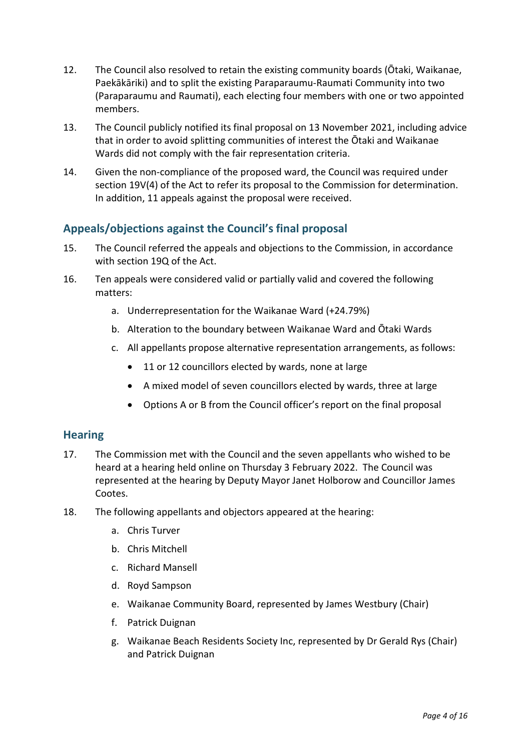- 12. The Council also resolved to retain the existing community boards (Ōtaki, Waikanae, Paekākāriki) and to split the existing Paraparaumu-Raumati Community into two (Paraparaumu and Raumati), each electing four members with one or two appointed members.
- 13. The Council publicly notified its final proposal on 13 November 2021, including advice that in order to avoid splitting communities of interest the Ōtaki and Waikanae Wards did not comply with the fair representation criteria.
- 14. Given the non-compliance of the proposed ward, the Council was required under section 19V(4) of the Act to refer its proposal to the Commission for determination. In addition, 11 appeals against the proposal were received.

# **Appeals/objections against the Council's final proposal**

- 15. The Council referred the appeals and objections to the Commission, in accordance with section 19Q of the Act.
- 16. Ten appeals were considered valid or partially valid and covered the following matters:
	- a. Underrepresentation for the Waikanae Ward (+24.79%)
	- b. Alteration to the boundary between Waikanae Ward and Ōtaki Wards
	- c. All appellants propose alternative representation arrangements, as follows:
		- 11 or 12 councillors elected by wards, none at large
		- A mixed model of seven councillors elected by wards, three at large
		- Options A or B from the Council officer's report on the final proposal

### **Hearing**

- 17. The Commission met with the Council and the seven appellants who wished to be heard at a hearing held online on Thursday 3 February 2022. The Council was represented at the hearing by Deputy Mayor Janet Holborow and Councillor James Cootes.
- 18. The following appellants and objectors appeared at the hearing:
	- a. Chris Turver
	- b. Chris Mitchell
	- c. Richard Mansell
	- d. Royd Sampson
	- e. Waikanae Community Board, represented by James Westbury (Chair)
	- f. Patrick Duignan
	- g. Waikanae Beach Residents Society Inc, represented by Dr Gerald Rys (Chair) and Patrick Duignan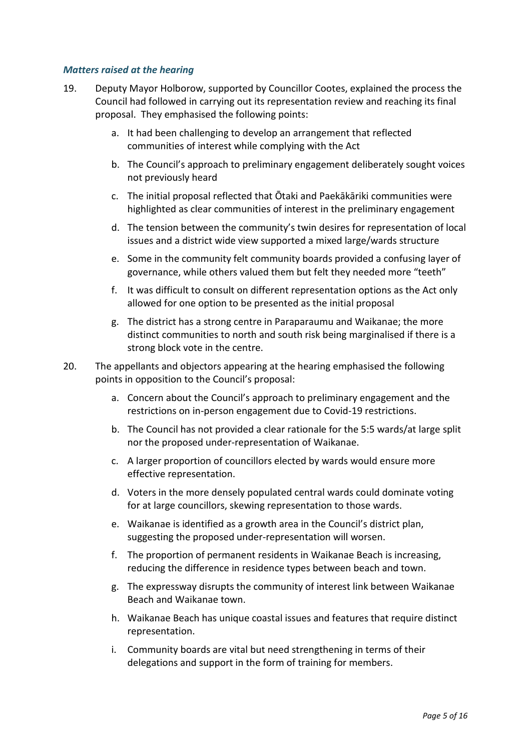#### *Matters raised at the hearing*

- 19. Deputy Mayor Holborow, supported by Councillor Cootes, explained the process the Council had followed in carrying out its representation review and reaching its final proposal. They emphasised the following points:
	- a. It had been challenging to develop an arrangement that reflected communities of interest while complying with the Act
	- b. The Council's approach to preliminary engagement deliberately sought voices not previously heard
	- c. The initial proposal reflected that Ōtaki and Paekākāriki communities were highlighted as clear communities of interest in the preliminary engagement
	- d. The tension between the community's twin desires for representation of local issues and a district wide view supported a mixed large/wards structure
	- e. Some in the community felt community boards provided a confusing layer of governance, while others valued them but felt they needed more "teeth"
	- f. It was difficult to consult on different representation options as the Act only allowed for one option to be presented as the initial proposal
	- g. The district has a strong centre in Paraparaumu and Waikanae; the more distinct communities to north and south risk being marginalised if there is a strong block vote in the centre.
- 20. The appellants and objectors appearing at the hearing emphasised the following points in opposition to the Council's proposal:
	- a. Concern about the Council's approach to preliminary engagement and the restrictions on in-person engagement due to Covid-19 restrictions.
	- b. The Council has not provided a clear rationale for the 5:5 wards/at large split nor the proposed under-representation of Waikanae.
	- c. A larger proportion of councillors elected by wards would ensure more effective representation.
	- d. Voters in the more densely populated central wards could dominate voting for at large councillors, skewing representation to those wards.
	- e. Waikanae is identified as a growth area in the Council's district plan, suggesting the proposed under-representation will worsen.
	- f. The proportion of permanent residents in Waikanae Beach is increasing, reducing the difference in residence types between beach and town.
	- g. The expressway disrupts the community of interest link between Waikanae Beach and Waikanae town.
	- h. Waikanae Beach has unique coastal issues and features that require distinct representation.
	- i. Community boards are vital but need strengthening in terms of their delegations and support in the form of training for members.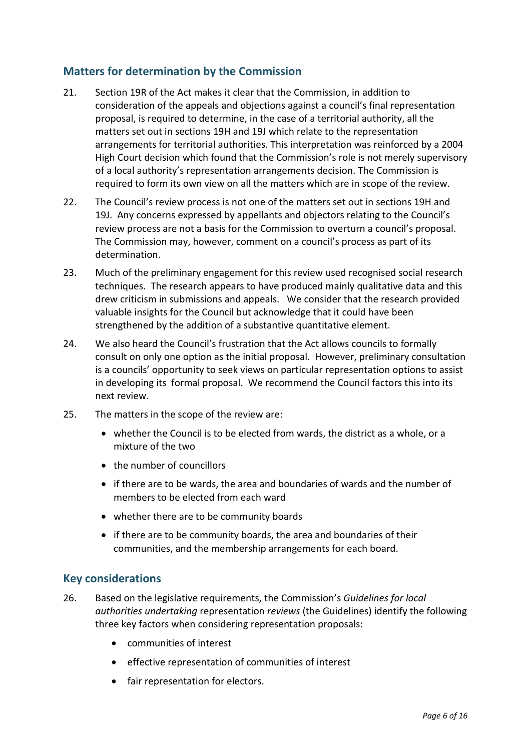## **Matters for determination by the Commission**

- 21. Section 19R of the Act makes it clear that the Commission, in addition to consideration of the appeals and objections against a council's final representation proposal, is required to determine, in the case of a territorial authority, all the matters set out in sections 19H and 19J which relate to the representation arrangements for territorial authorities. This interpretation was reinforced by a 2004 High Court decision which found that the Commission's role is not merely supervisory of a local authority's representation arrangements decision. The Commission is required to form its own view on all the matters which are in scope of the review.
- 22. The Council's review process is not one of the matters set out in sections 19H and 19J. Any concerns expressed by appellants and objectors relating to the Council's review process are not a basis for the Commission to overturn a council's proposal. The Commission may, however, comment on a council's process as part of its determination.
- 23. Much of the preliminary engagement for this review used recognised social research techniques. The research appears to have produced mainly qualitative data and this drew criticism in submissions and appeals. We consider that the research provided valuable insights for the Council but acknowledge that it could have been strengthened by the addition of a substantive quantitative element.
- 24. We also heard the Council's frustration that the Act allows councils to formally consult on only one option as the initial proposal. However, preliminary consultation is a councils' opportunity to seek views on particular representation options to assist in developing its formal proposal. We recommend the Council factors this into its next review.
- 25. The matters in the scope of the review are:
	- whether the Council is to be elected from wards, the district as a whole, or a mixture of the two
	- the number of councillors
	- if there are to be wards, the area and boundaries of wards and the number of members to be elected from each ward
	- whether there are to be community boards
	- if there are to be community boards, the area and boundaries of their communities, and the membership arrangements for each board.

## **Key considerations**

- 26. Based on the legislative requirements, the Commission's *Guidelines for local authorities undertaking* representation *reviews* (the Guidelines) identify the following three key factors when considering representation proposals:
	- communities of interest
	- effective representation of communities of interest
	- fair representation for electors.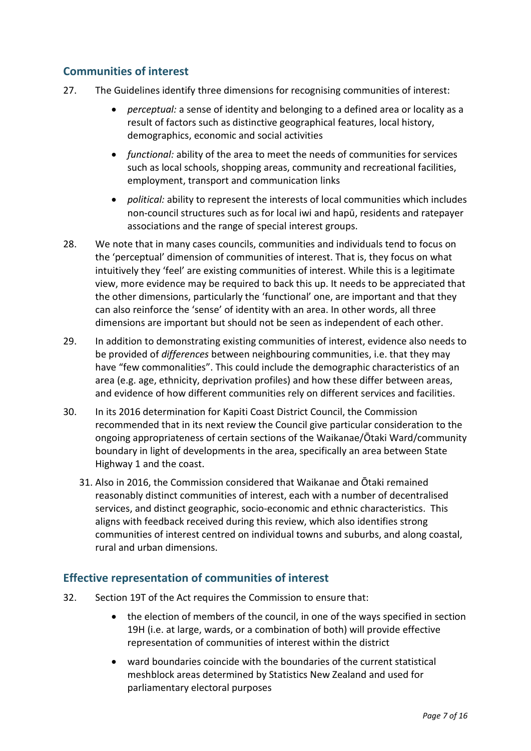# **Communities of interest**

- 27. The Guidelines identify three dimensions for recognising communities of interest:
	- *perceptual:* a sense of identity and belonging to a defined area or locality as a result of factors such as distinctive geographical features, local history, demographics, economic and social activities
	- *functional:* ability of the area to meet the needs of communities for services such as local schools, shopping areas, community and recreational facilities, employment, transport and communication links
	- *political:* ability to represent the interests of local communities which includes non-council structures such as for local iwi and hapū, residents and ratepayer associations and the range of special interest groups.
- 28. We note that in many cases councils, communities and individuals tend to focus on the 'perceptual' dimension of communities of interest. That is, they focus on what intuitively they 'feel' are existing communities of interest. While this is a legitimate view, more evidence may be required to back this up. It needs to be appreciated that the other dimensions, particularly the 'functional' one, are important and that they can also reinforce the 'sense' of identity with an area. In other words, all three dimensions are important but should not be seen as independent of each other.
- 29. In addition to demonstrating existing communities of interest, evidence also needs to be provided of *differences* between neighbouring communities, i.e. that they may have "few commonalities". This could include the demographic characteristics of an area (e.g. age, ethnicity, deprivation profiles) and how these differ between areas, and evidence of how different communities rely on different services and facilities.
- 30. In its 2016 determination for Kapiti Coast District Council, the Commission recommended that in its next review the Council give particular consideration to the ongoing appropriateness of certain sections of the Waikanae/Ōtaki Ward/community boundary in light of developments in the area, specifically an area between State Highway 1 and the coast.
	- 31. Also in 2016, the Commission considered that Waikanae and Ōtaki remained reasonably distinct communities of interest, each with a number of decentralised services, and distinct geographic, socio-economic and ethnic characteristics. This aligns with feedback received during this review, which also identifies strong communities of interest centred on individual towns and suburbs, and along coastal, rural and urban dimensions.

## **Effective representation of communities of interest**

- 32. Section 19T of the Act requires the Commission to ensure that:
	- the election of members of the council, in one of the ways specified in section 19H (i.e. at large, wards, or a combination of both) will provide effective representation of communities of interest within the district
	- ward boundaries coincide with the boundaries of the current statistical meshblock areas determined by Statistics New Zealand and used for parliamentary electoral purposes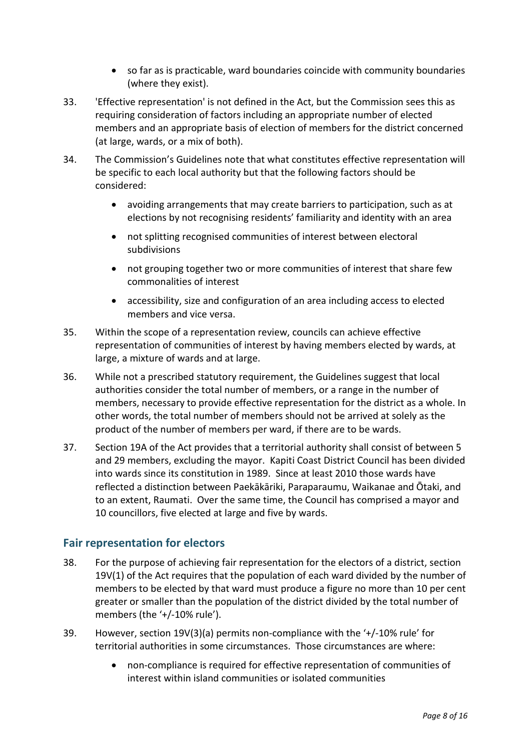- so far as is practicable, ward boundaries coincide with community boundaries (where they exist).
- 33. 'Effective representation' is not defined in the Act, but the Commission sees this as requiring consideration of factors including an appropriate number of elected members and an appropriate basis of election of members for the district concerned (at large, wards, or a mix of both).
- 34. The Commission's Guidelines note that what constitutes effective representation will be specific to each local authority but that the following factors should be considered:
	- avoiding arrangements that may create barriers to participation, such as at elections by not recognising residents' familiarity and identity with an area
	- not splitting recognised communities of interest between electoral subdivisions
	- not grouping together two or more communities of interest that share few commonalities of interest
	- accessibility, size and configuration of an area including access to elected members and vice versa.
- 35. Within the scope of a representation review, councils can achieve effective representation of communities of interest by having members elected by wards, at large, a mixture of wards and at large.
- 36. While not a prescribed statutory requirement, the Guidelines suggest that local authorities consider the total number of members, or a range in the number of members, necessary to provide effective representation for the district as a whole. In other words, the total number of members should not be arrived at solely as the product of the number of members per ward, if there are to be wards.
- 37. Section 19A of the Act provides that a territorial authority shall consist of between 5 and 29 members, excluding the mayor. Kapiti Coast District Council has been divided into wards since its constitution in 1989. Since at least 2010 those wards have reflected a distinction between Paekākāriki, Paraparaumu, Waikanae and Ōtaki, and to an extent, Raumati. Over the same time, the Council has comprised a mayor and 10 councillors, five elected at large and five by wards.

## **Fair representation for electors**

- 38. For the purpose of achieving fair representation for the electors of a district, section 19V(1) of the Act requires that the population of each ward divided by the number of members to be elected by that ward must produce a figure no more than 10 per cent greater or smaller than the population of the district divided by the total number of members (the '+/-10% rule').
- 39. However, section 19V(3)(a) permits non-compliance with the '+/-10% rule' for territorial authorities in some circumstances. Those circumstances are where:
	- non-compliance is required for effective representation of communities of interest within island communities or isolated communities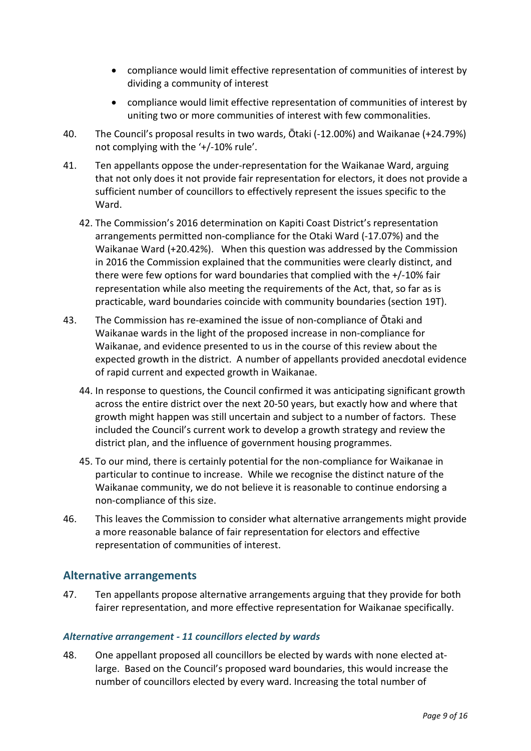- compliance would limit effective representation of communities of interest by dividing a community of interest
- compliance would limit effective representation of communities of interest by uniting two or more communities of interest with few commonalities.
- 40. The Council's proposal results in two wards, Ōtaki (-12.00%) and Waikanae (+24.79%) not complying with the '+/-10% rule'.
- 41. Ten appellants oppose the under-representation for the Waikanae Ward, arguing that not only does it not provide fair representation for electors, it does not provide a sufficient number of councillors to effectively represent the issues specific to the Ward.
	- 42. The Commission's 2016 determination on Kapiti Coast District's representation arrangements permitted non-compliance for the Otaki Ward (-17.07%) and the Waikanae Ward (+20.42%). When this question was addressed by the Commission in 2016 the Commission explained that the communities were clearly distinct, and there were few options for ward boundaries that complied with the +/-10% fair representation while also meeting the requirements of the Act, that, so far as is practicable, ward boundaries coincide with community boundaries (section 19T).
- 43. The Commission has re-examined the issue of non-compliance of Ōtaki and Waikanae wards in the light of the proposed increase in non-compliance for Waikanae, and evidence presented to us in the course of this review about the expected growth in the district. A number of appellants provided anecdotal evidence of rapid current and expected growth in Waikanae.
	- 44. In response to questions, the Council confirmed it was anticipating significant growth across the entire district over the next 20-50 years, but exactly how and where that growth might happen was still uncertain and subject to a number of factors. These included the Council's current work to develop a growth strategy and review the district plan, and the influence of government housing programmes.
	- 45. To our mind, there is certainly potential for the non-compliance for Waikanae in particular to continue to increase. While we recognise the distinct nature of the Waikanae community, we do not believe it is reasonable to continue endorsing a non-compliance of this size.
- 46. This leaves the Commission to consider what alternative arrangements might provide a more reasonable balance of fair representation for electors and effective representation of communities of interest.

## **Alternative arrangements**

47. Ten appellants propose alternative arrangements arguing that they provide for both fairer representation, and more effective representation for Waikanae specifically.

#### *Alternative arrangement - 11 councillors elected by wards*

48. One appellant proposed all councillors be elected by wards with none elected atlarge. Based on the Council's proposed ward boundaries, this would increase the number of councillors elected by every ward. Increasing the total number of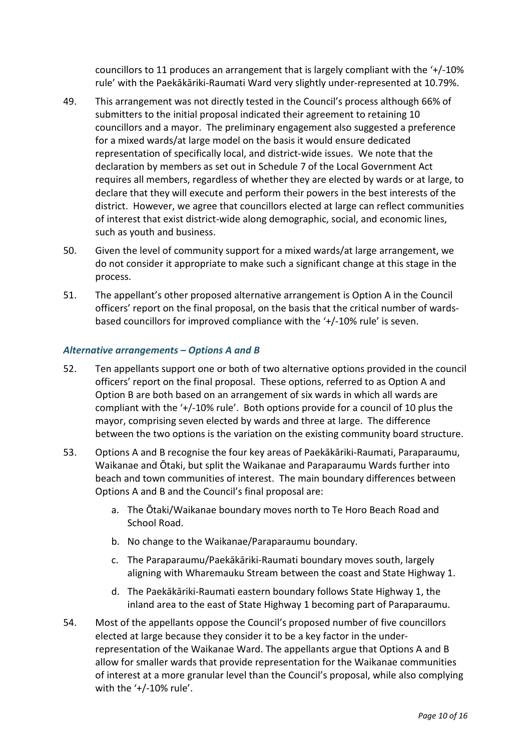councillors to 11 produces an arrangement that is largely compliant with the '+/-10% rule' with the Paekākāriki-Raumati Ward very slightly under-represented at 10.79%.

- 49. This arrangement was not directly tested in the Council's process although 66% of submitters to the initial proposal indicated their agreement to retaining 10 councillors and a mayor. The preliminary engagement also suggested a preference for a mixed wards/at large model on the basis it would ensure dedicated representation of specifically local, and district-wide issues. We note that the declaration by members as set out in Schedule 7 of the Local Government Act requires all members, regardless of whether they are elected by wards or at large, to declare that they will execute and perform their powers in the best interests of the district. However, we agree that councillors elected at large can reflect communities of interest that exist district-wide along demographic, social, and economic lines, such as youth and business.
- 50. Given the level of community support for a mixed wards/at large arrangement, we do not consider it appropriate to make such a significant change at this stage in the process.
- 51. The appellant's other proposed alternative arrangement is Option A in the Council officers' report on the final proposal, on the basis that the critical number of wardsbased councillors for improved compliance with the '+/-10% rule' is seven.

#### *Alternative arrangements – Options A and B*

- 52. Ten appellants support one or both of two alternative options provided in the council officers' report on the final proposal. These options, referred to as Option A and Option B are both based on an arrangement of six wards in which all wards are compliant with the '+/-10% rule'. Both options provide for a council of 10 plus the mayor, comprising seven elected by wards and three at large. The difference between the two options is the variation on the existing community board structure.
- 53. Options A and B recognise the four key areas of Paekākāriki-Raumati, Paraparaumu, Waikanae and Ōtaki, but split the Waikanae and Paraparaumu Wards further into beach and town communities of interest. The main boundary differences between Options A and B and the Council's final proposal are:
	- a. The Ōtaki/Waikanae boundary moves north to Te Horo Beach Road and School Road.
	- b. No change to the Waikanae/Paraparaumu boundary.
	- c. The Paraparaumu/Paekākāriki-Raumati boundary moves south, largely aligning with Wharemauku Stream between the coast and State Highway 1.
	- d. The Paekākāriki-Raumati eastern boundary follows State Highway 1, the inland area to the east of State Highway 1 becoming part of Paraparaumu.
- 54. Most of the appellants oppose the Council's proposed number of five councillors elected at large because they consider it to be a key factor in the underrepresentation of the Waikanae Ward. The appellants argue that Options A and B allow for smaller wards that provide representation for the Waikanae communities of interest at a more granular level than the Council's proposal, while also complying with the '+/-10% rule'.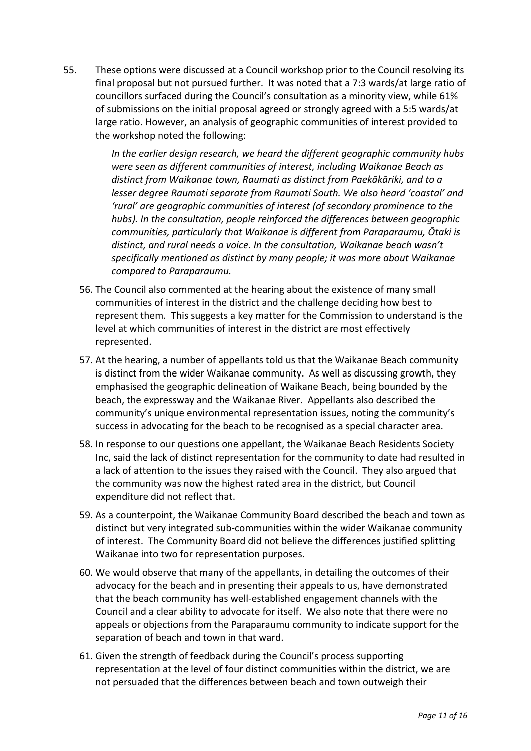55. These options were discussed at a Council workshop prior to the Council resolving its final proposal but not pursued further. It was noted that a 7:3 wards/at large ratio of councillors surfaced during the Council's consultation as a minority view, while 61% of submissions on the initial proposal agreed or strongly agreed with a 5:5 wards/at large ratio. However, an analysis of geographic communities of interest provided to the workshop noted the following:

> *In the earlier design research, we heard the different geographic community hubs were seen as different communities of interest, including Waikanae Beach as distinct from Waikanae town, Raumati as distinct from Paekākāriki, and to a lesser degree Raumati separate from Raumati South. We also heard 'coastal' and 'rural' are geographic communities of interest (of secondary prominence to the hubs). In the consultation, people reinforced the differences between geographic communities, particularly that Waikanae is different from Paraparaumu, Ōtaki is distinct, and rural needs a voice. In the consultation, Waikanae beach wasn't specifically mentioned as distinct by many people; it was more about Waikanae compared to Paraparaumu.*

- 56. The Council also commented at the hearing about the existence of many small communities of interest in the district and the challenge deciding how best to represent them. This suggests a key matter for the Commission to understand is the level at which communities of interest in the district are most effectively represented.
- 57. At the hearing, a number of appellants told us that the Waikanae Beach community is distinct from the wider Waikanae community. As well as discussing growth, they emphasised the geographic delineation of Waikane Beach, being bounded by the beach, the expressway and the Waikanae River. Appellants also described the community's unique environmental representation issues, noting the community's success in advocating for the beach to be recognised as a special character area.
- 58. In response to our questions one appellant, the Waikanae Beach Residents Society Inc, said the lack of distinct representation for the community to date had resulted in a lack of attention to the issues they raised with the Council. They also argued that the community was now the highest rated area in the district, but Council expenditure did not reflect that.
- 59. As a counterpoint, the Waikanae Community Board described the beach and town as distinct but very integrated sub-communities within the wider Waikanae community of interest. The Community Board did not believe the differences justified splitting Waikanae into two for representation purposes.
- 60. We would observe that many of the appellants, in detailing the outcomes of their advocacy for the beach and in presenting their appeals to us, have demonstrated that the beach community has well-established engagement channels with the Council and a clear ability to advocate for itself. We also note that there were no appeals or objections from the Paraparaumu community to indicate support for the separation of beach and town in that ward.
- 61. Given the strength of feedback during the Council's process supporting representation at the level of four distinct communities within the district, we are not persuaded that the differences between beach and town outweigh their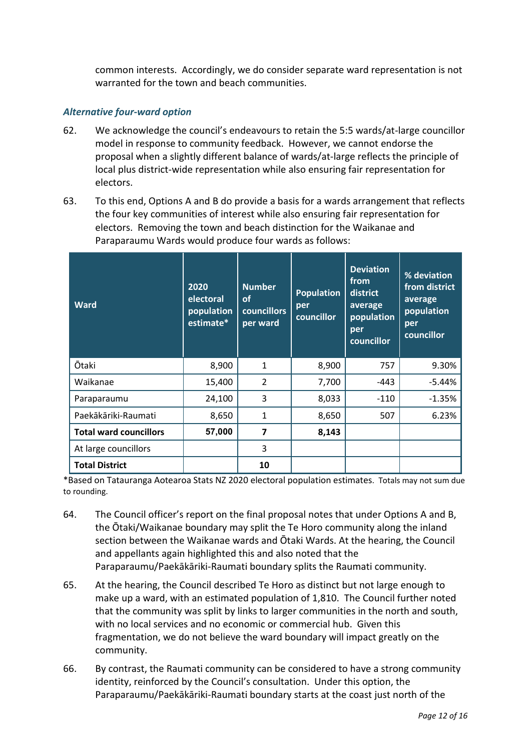common interests. Accordingly, we do consider separate ward representation is not warranted for the town and beach communities.

#### *Alternative four-ward option*

- 62. We acknowledge the council's endeavours to retain the 5:5 wards/at-large councillor model in response to community feedback. However, we cannot endorse the proposal when a slightly different balance of wards/at-large reflects the principle of local plus district-wide representation while also ensuring fair representation for electors.
- 63. To this end, Options A and B do provide a basis for a wards arrangement that reflects the four key communities of interest while also ensuring fair representation for electors. Removing the town and beach distinction for the Waikanae and Paraparaumu Wards would produce four wards as follows:

| <b>Ward</b>                   | 2020<br>electoral<br>population<br>estimate* | <b>Number</b><br><b>of</b><br><b>councillors</b><br>per ward | <b>Population</b><br>per<br>councillor | <b>Deviation</b><br>from<br>district<br>average<br>population<br>per<br>councillor | % deviation<br>from district<br>average<br>population<br>per<br>councillor |
|-------------------------------|----------------------------------------------|--------------------------------------------------------------|----------------------------------------|------------------------------------------------------------------------------------|----------------------------------------------------------------------------|
| Ōtaki                         | 8,900                                        | 1                                                            | 8,900                                  | 757                                                                                | 9.30%                                                                      |
| Waikanae                      | 15,400                                       | $\overline{2}$                                               | 7,700                                  | -443                                                                               | $-5.44%$                                                                   |
| Paraparaumu                   | 24,100                                       | 3                                                            | 8,033                                  | $-110$                                                                             | $-1.35%$                                                                   |
| Paekākāriki-Raumati           | 8,650                                        | 1                                                            | 8,650                                  | 507                                                                                | 6.23%                                                                      |
| <b>Total ward councillors</b> | 57,000                                       | 7                                                            | 8,143                                  |                                                                                    |                                                                            |
| At large councillors          |                                              | 3                                                            |                                        |                                                                                    |                                                                            |
| <b>Total District</b>         |                                              | 10                                                           |                                        |                                                                                    |                                                                            |

\*Based on Tatauranga Aotearoa Stats NZ 2020 electoral population estimates. Totals may not sum due to rounding.

- 64. The Council officer's report on the final proposal notes that under Options A and B, the Ōtaki/Waikanae boundary may split the Te Horo community along the inland section between the Waikanae wards and Ōtaki Wards. At the hearing, the Council and appellants again highlighted this and also noted that the Paraparaumu/Paekākāriki-Raumati boundary splits the Raumati community.
- 65. At the hearing, the Council described Te Horo as distinct but not large enough to make up a ward, with an estimated population of 1,810. The Council further noted that the community was split by links to larger communities in the north and south, with no local services and no economic or commercial hub. Given this fragmentation, we do not believe the ward boundary will impact greatly on the community.
- 66. By contrast, the Raumati community can be considered to have a strong community identity, reinforced by the Council's consultation. Under this option, the Paraparaumu/Paekākāriki-Raumati boundary starts at the coast just north of the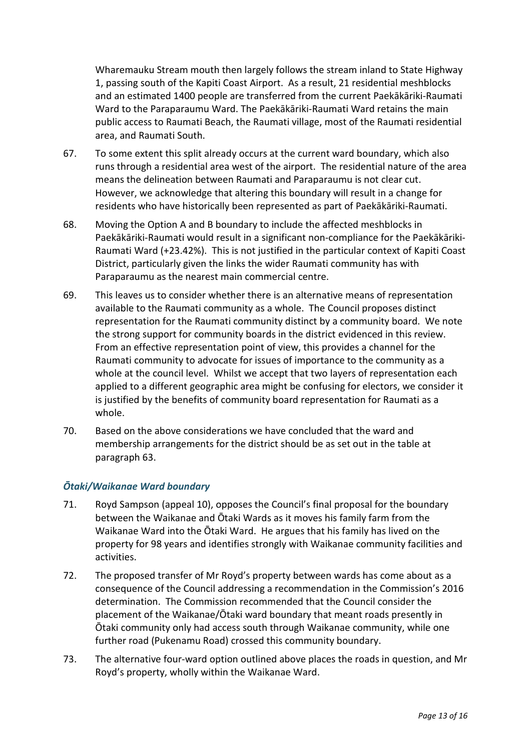Wharemauku Stream mouth then largely follows the stream inland to State Highway 1, passing south of the Kapiti Coast Airport. As a result, 21 residential meshblocks and an estimated 1400 people are transferred from the current Paekākāriki-Raumati Ward to the Paraparaumu Ward. The Paekākāriki-Raumati Ward retains the main public access to Raumati Beach, the Raumati village, most of the Raumati residential area, and Raumati South.

- 67. To some extent this split already occurs at the current ward boundary, which also runs through a residential area west of the airport. The residential nature of the area means the delineation between Raumati and Paraparaumu is not clear cut. However, we acknowledge that altering this boundary will result in a change for residents who have historically been represented as part of Paekākāriki-Raumati.
- 68. Moving the Option A and B boundary to include the affected meshblocks in Paekākāriki-Raumati would result in a significant non-compliance for the Paekākāriki-Raumati Ward (+23.42%). This is not justified in the particular context of Kapiti Coast District, particularly given the links the wider Raumati community has with Paraparaumu as the nearest main commercial centre.
- 69. This leaves us to consider whether there is an alternative means of representation available to the Raumati community as a whole. The Council proposes distinct representation for the Raumati community distinct by a community board. We note the strong support for community boards in the district evidenced in this review. From an effective representation point of view, this provides a channel for the Raumati community to advocate for issues of importance to the community as a whole at the council level. Whilst we accept that two layers of representation each applied to a different geographic area might be confusing for electors, we consider it is justified by the benefits of community board representation for Raumati as a whole.
- 70. Based on the above considerations we have concluded that the ward and membership arrangements for the district should be as set out in the table at paragraph 63.

### *Ōtaki/Waikanae Ward boundary*

- 71. Royd Sampson (appeal 10), opposes the Council's final proposal for the boundary between the Waikanae and Ōtaki Wards as it moves his family farm from the Waikanae Ward into the Ōtaki Ward. He argues that his family has lived on the property for 98 years and identifies strongly with Waikanae community facilities and activities.
- 72. The proposed transfer of Mr Royd's property between wards has come about as a consequence of the Council addressing a recommendation in the Commission's 2016 determination. The Commission recommended that the Council consider the placement of the Waikanae/Ōtaki ward boundary that meant roads presently in Ōtaki community only had access south through Waikanae community, while one further road (Pukenamu Road) crossed this community boundary.
- 73. The alternative four-ward option outlined above places the roads in question, and Mr Royd's property, wholly within the Waikanae Ward.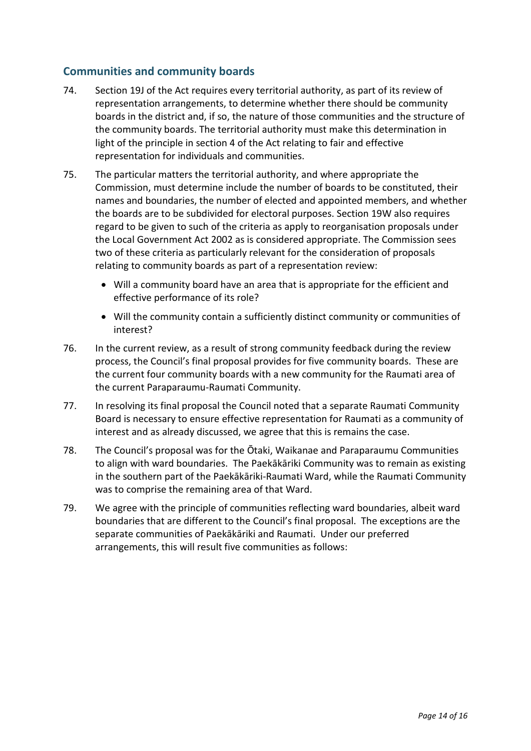### **Communities and community boards**

- 74. Section 19J of the Act requires every territorial authority, as part of its review of representation arrangements, to determine whether there should be community boards in the district and, if so, the nature of those communities and the structure of the community boards. The territorial authority must make this determination in light of the principle in section 4 of the Act relating to fair and effective representation for individuals and communities.
- 75. The particular matters the territorial authority, and where appropriate the Commission, must determine include the number of boards to be constituted, their names and boundaries, the number of elected and appointed members, and whether the boards are to be subdivided for electoral purposes. Section 19W also requires regard to be given to such of the criteria as apply to reorganisation proposals under the Local Government Act 2002 as is considered appropriate. The Commission sees two of these criteria as particularly relevant for the consideration of proposals relating to community boards as part of a representation review:
	- Will a community board have an area that is appropriate for the efficient and effective performance of its role?
	- Will the community contain a sufficiently distinct community or communities of interest?
- 76. In the current review, as a result of strong community feedback during the review process, the Council's final proposal provides for five community boards. These are the current four community boards with a new community for the Raumati area of the current Paraparaumu-Raumati Community.
- 77. In resolving its final proposal the Council noted that a separate Raumati Community Board is necessary to ensure effective representation for Raumati as a community of interest and as already discussed, we agree that this is remains the case.
- 78. The Council's proposal was for the Ōtaki, Waikanae and Paraparaumu Communities to align with ward boundaries. The Paekākāriki Community was to remain as existing in the southern part of the Paekākāriki-Raumati Ward, while the Raumati Community was to comprise the remaining area of that Ward.
- 79. We agree with the principle of communities reflecting ward boundaries, albeit ward boundaries that are different to the Council's final proposal. The exceptions are the separate communities of Paekākāriki and Raumati. Under our preferred arrangements, this will result five communities as follows: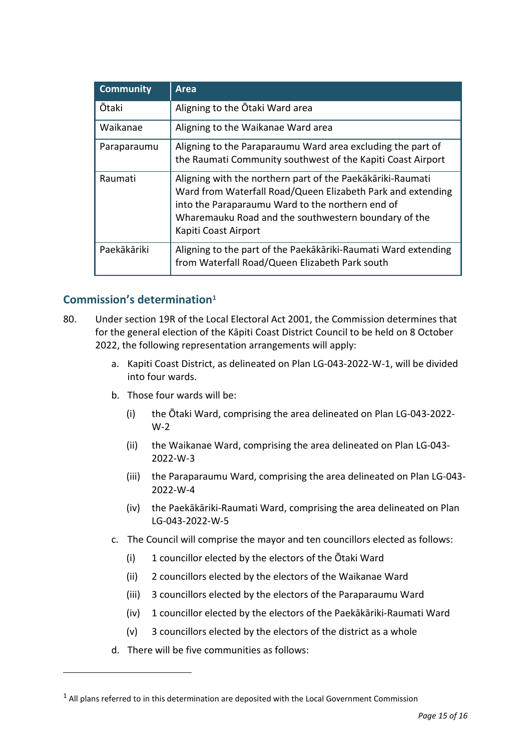| <b>Community</b> | Area                                                                                                                                                                                                                                                          |
|------------------|---------------------------------------------------------------------------------------------------------------------------------------------------------------------------------------------------------------------------------------------------------------|
| <b>Ōtaki</b>     | Aligning to the Otaki Ward area                                                                                                                                                                                                                               |
| Waikanae         | Aligning to the Waikanae Ward area                                                                                                                                                                                                                            |
| Paraparaumu      | Aligning to the Paraparaumu Ward area excluding the part of<br>the Raumati Community southwest of the Kapiti Coast Airport                                                                                                                                    |
| Raumati          | Aligning with the northern part of the Paekākāriki-Raumati<br>Ward from Waterfall Road/Queen Elizabeth Park and extending<br>into the Paraparaumu Ward to the northern end of<br>Wharemauku Road and the southwestern boundary of the<br>Kapiti Coast Airport |
| Paekākāriki      | Aligning to the part of the Paekākāriki-Raumati Ward extending<br>from Waterfall Road/Queen Elizabeth Park south                                                                                                                                              |

## **Commission's determination[1](#page-14-0)**

-

- 80. Under section 19R of the Local Electoral Act 2001, the Commission determines that for the general election of the Kāpiti Coast District Council to be held on 8 October 2022, the following representation arrangements will apply:
	- a. Kapiti Coast District, as delineated on Plan LG-043-2022-W-1, will be divided into four wards.
	- b. Those four wards will be:
		- (i) the Ōtaki Ward, comprising the area delineated on Plan LG-043-2022- W-2
		- (ii) the Waikanae Ward, comprising the area delineated on Plan LG-043- 2022-W-3
		- (iii) the Paraparaumu Ward, comprising the area delineated on Plan LG-043- 2022-W-4
		- (iv) the Paekākāriki-Raumati Ward, comprising the area delineated on Plan LG-043-2022-W-5
	- c. The Council will comprise the mayor and ten councillors elected as follows:
		- (i) 1 councillor elected by the electors of the Ōtaki Ward
		- (ii) 2 councillors elected by the electors of the Waikanae Ward
		- (iii) 3 councillors elected by the electors of the Paraparaumu Ward
		- (iv) 1 councillor elected by the electors of the Paekākāriki-Raumati Ward
		- (v) 3 councillors elected by the electors of the district as a whole
	- d. There will be five communities as follows:

<span id="page-14-0"></span> $1$  All plans referred to in this determination are deposited with the Local Government Commission